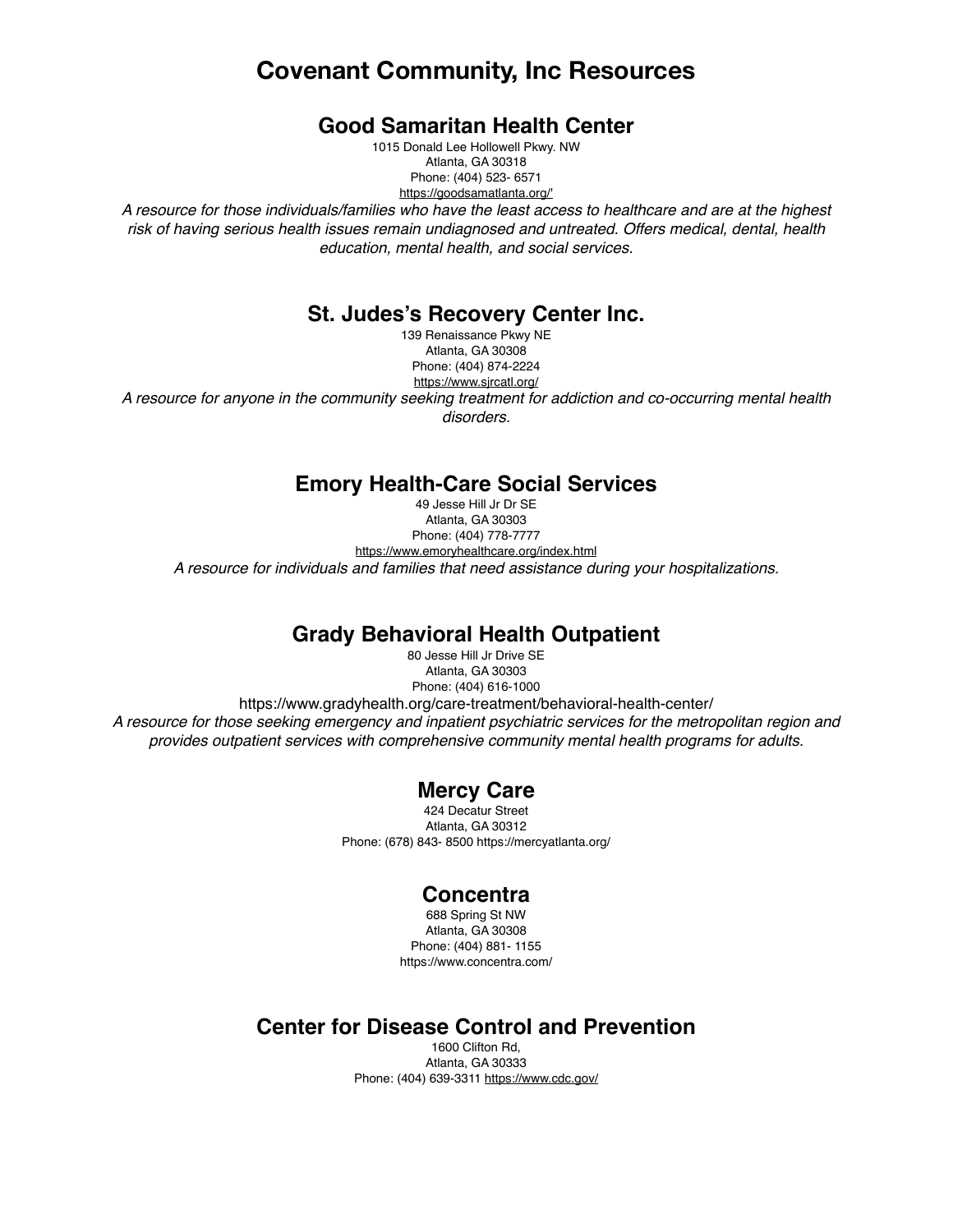# **Covenant Community, Inc Resources**

### **Good Samaritan Health Center**

1015 Donald Lee Hollowell Pkwy. NW Atlanta, GA 30318 Phone: (404) 523- 6571 [https://goodsamatlanta.org/'](https://goodsamatlanta.org/)

*A resource for those individuals/families who have the least access to healthcare and are at the highest risk of having serious health issues remain undiagnosed and untreated. Offers medical, dental, health education, mental health, and social services.*

### **St. Judes's Recovery Center Inc.**

139 Renaissance Pkwy NE Atlanta, GA 30308 Phone: (404) 874-2224 <https://www.sjrcatl.org/> *A resource for anyone in the community seeking treatment for addiction and co-occurring mental health disorders.*

## **Emory Health-Care Social Services**

49 Jesse Hill Jr Dr SE Atlanta, GA 30303 Phone: (404) 778-7777 <https://www.emoryhealthcare.org/index.html> *A resource for individuals and families that need assistance during your hospitalizations.*

# **Grady Behavioral Health Outpatient**

80 Jesse Hill Jr Drive SE Atlanta, GA 30303 Phone: (404) 616-1000 https://www.gradyhealth.org/care-treatment/behavioral-health-center/ *A resource for those seeking emergency and inpatient psychiatric services for the metropolitan region and provides outpatient services with comprehensive community mental health programs for adults.*

## **Mercy Care**

424 Decatur Street Atlanta, GA 30312 Phone: (678) 843- 8500 https://mercyatlanta.org/

### **Concentra**

688 Spring St NW Atlanta, GA 30308 Phone: (404) 881- 1155 https://www.concentra.com/

## **Center for Disease Control and Prevention**

1600 Clifton Rd, Atlanta, GA 30333 Phone: (404) 639-3311 <https://www.cdc.gov/>